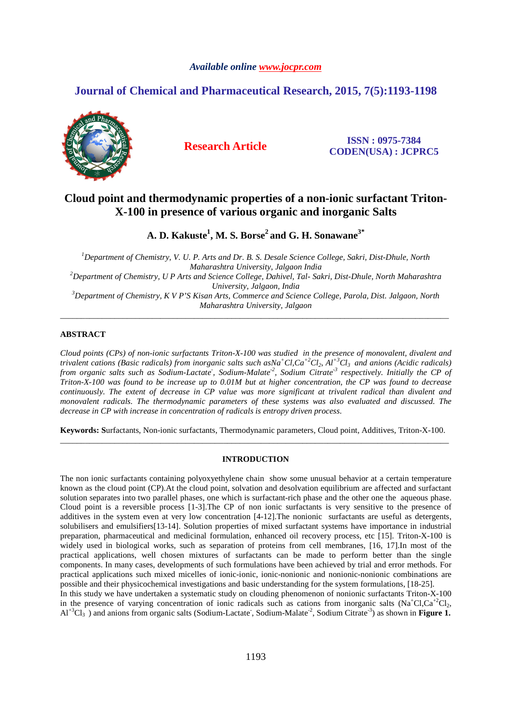# *Available online www.jocpr.com*

# **Journal of Chemical and Pharmaceutical Research, 2015, 7(5):1193-1198**



**Research Article ISSN : 0975-7384 CODEN(USA) : JCPRC5**

# **Cloud point and thermodynamic properties of a non-ionic surfactant Triton-X-100 in presence of various organic and inorganic Salts**

**A. D. Kakuste<sup>1</sup> , M. S. Borse<sup>2</sup>and G. H. Sonawane3\*** 

*<sup>1</sup>Department of Chemistry, V. U. P. Arts and Dr. B. S. Desale Science College, Sakri, Dist-Dhule, North Maharashtra University, Jalgaon India <sup>2</sup>Department of Chemistry, U P Arts and Science College, Dahivel, Tal- Sakri, Dist-Dhule, North Maharashtra University, Jalgaon, India <sup>3</sup>Department of Chemistry, K V P'S Kisan Arts, Commerce and Science College, Parola, Dist. Jalgaon, North Maharashtra University, Jalgaon* 

\_\_\_\_\_\_\_\_\_\_\_\_\_\_\_\_\_\_\_\_\_\_\_\_\_\_\_\_\_\_\_\_\_\_\_\_\_\_\_\_\_\_\_\_\_\_\_\_\_\_\_\_\_\_\_\_\_\_\_\_\_\_\_\_\_\_\_\_\_\_\_\_\_\_\_\_\_\_\_\_\_\_\_\_\_\_\_\_\_\_\_\_\_

# **ABSTRACT**

*Cloud points (CPs) of non-ionic surfactants Triton-X-100 was studied in the presence of monovalent, divalent and trivalent cations (Basic radicals) from inorganic salts such asNa<sup>+</sup>Cl,Ca+2Cl2, Al+3Cl3 and anions (Acidic radicals) from organic salts such as Sodium-Lactate- , Sodium-Malate-2, Sodium Citrate-3 respectively. Initially the CP of Triton-X-100 was found to be increase up to 0.01M but at higher concentration, the CP was found to decrease continuously. The extent of decrease in CP value was more significant at trivalent radical than divalent and monovalent radicals. The thermodynamic parameters of these systems was also evaluated and discussed. The decrease in CP with increase in concentration of radicals is entropy driven process.* 

**Keywords: S**urfactants, Non-ionic surfactants, Thermodynamic parameters, Cloud point, Additives, Triton-X-100. \_\_\_\_\_\_\_\_\_\_\_\_\_\_\_\_\_\_\_\_\_\_\_\_\_\_\_\_\_\_\_\_\_\_\_\_\_\_\_\_\_\_\_\_\_\_\_\_\_\_\_\_\_\_\_\_\_\_\_\_\_\_\_\_\_\_\_\_\_\_\_\_\_\_\_\_\_\_\_\_\_\_\_\_\_\_\_\_\_\_\_\_\_

## **INTRODUCTION**

The non ionic surfactants containing polyoxyethylene chain show some unusual behavior at a certain temperature known as the cloud point (CP).At the cloud point, solvation and desolvation equilibrium are affected and surfactant solution separates into two parallel phases, one which is surfactant-rich phase and the other one the aqueous phase. Cloud point is a reversible process [1-3].The CP of non ionic surfactants is very sensitive to the presence of additives in the system even at very low concentration [4-12].The nonionic surfactants are useful as detergents, solubilisers and emulsifiers[13-14]. Solution properties of mixed surfactant systems have importance in industrial preparation, pharmaceutical and medicinal formulation, enhanced oil recovery process, etc [15]. Triton-X-100 is widely used in biological works, such as separation of proteins from cell membranes, [16, 17].In most of the practical applications, well chosen mixtures of surfactants can be made to perform better than the single components. In many cases, developments of such formulations have been achieved by trial and error methods. For practical applications such mixed micelles of ionic-ionic, ionic-nonionic and nonionic-nonionic combinations are possible and their physicochemical investigations and basic understanding for the system formulations, [18-25].

In this study we have undertaken a systematic study on clouding phenomenon of nonionic surfactants Triton-X-100 in the presence of varying concentration of ionic radicals such as cations from inorganic salts  $(Na<sup>+</sup>Cl,Ca<sup>+2</sup>Cl<sub>2</sub>$ , Al<sup>+3</sup>Cl<sub>3</sub>) and anions from organic salts (Sodium-Lactate, Sodium-Malate<sup>-2</sup>, Sodium Citrate<sup>-3</sup>) as shown in **Figure 1.**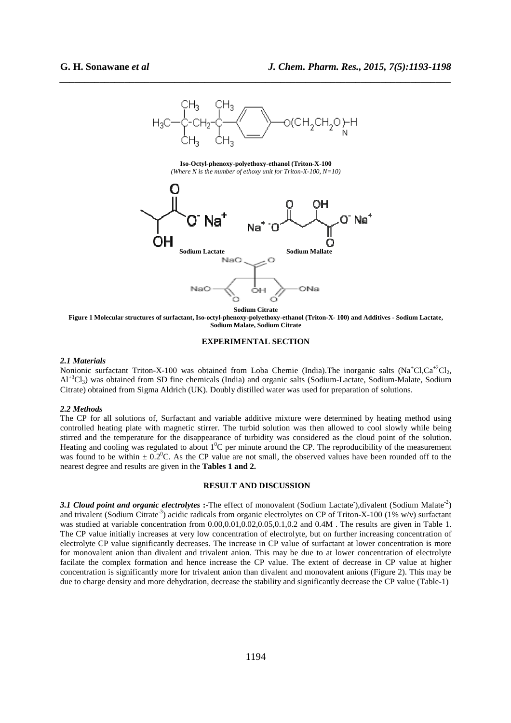

*\_\_\_\_\_\_\_\_\_\_\_\_\_\_\_\_\_\_\_\_\_\_\_\_\_\_\_\_\_\_\_\_\_\_\_\_\_\_\_\_\_\_\_\_\_\_\_\_\_\_\_\_\_\_\_\_\_\_\_\_\_\_\_\_\_\_\_\_\_\_\_\_\_\_\_\_\_\_*

**Iso-Octyl-phenoxy-polyethoxy-ethanol (Triton-X-100**  *(Where N is the number of ethoxy unit for Triton-X-100, N=10)* 



**Figure 1 Molecular structures of surfactant, Iso-octyl-phenoxy-polyethoxy-ethanol (Triton-X- 100) and Additives - Sodium Lactate, Sodium Malate, Sodium Citrate** 

## **EXPERIMENTAL SECTION**

#### *2.1 Materials*

Nonionic surfactant Triton-X-100 was obtained from Loba Chemie (India). The inorganic salts  $(Na<sup>+</sup>Cl<sub>2</sub>, Ca<sup>+</sup>Cl<sub>2</sub>,$  $Al^{+3}Cl_3$ ) was obtained from SD fine chemicals (India) and organic salts (Sodium-Lactate, Sodium-Malate, Sodium Citrate) obtained from Sigma Aldrich (UK). Doubly distilled water was used for preparation of solutions.

#### *2.2 Methods*

The CP for all solutions of, Surfactant and variable additive mixture were determined by heating method using controlled heating plate with magnetic stirrer. The turbid solution was then allowed to cool slowly while being stirred and the temperature for the disappearance of turbidity was considered as the cloud point of the solution. Heating and cooling was regulated to about  $1^0C$  per minute around the CP. The reproducibility of the measurement was found to be within  $\pm 0.2^{\circ}$ C. As the CP value are not small, the observed values have been rounded off to the nearest degree and results are given in the **Tables 1 and 2.** 

## **RESULT AND DISCUSSION**

3.1 Cloud point and organic electrolytes :-The effect of monovalent (Sodium Lactate<sup>-</sup>),divalent (Sodium Malate<sup>-2</sup>) and trivalent (Sodium Citrate<sup>-3</sup>) acidic radicals from organic electrolytes on CP of Triton-X-100 (1% w/v) surfactant was studied at variable concentration from  $0.00, 0.01, 0.02, 0.05, 0.1, 0.2$  and  $0.4M$ . The results are given in Table 1. The CP value initially increases at very low concentration of electrolyte, but on further increasing concentration of electrolyte CP value significantly decreases. The increase in CP value of surfactant at lower concentration is more for monovalent anion than divalent and trivalent anion. This may be due to at lower concentration of electrolyte facilate the complex formation and hence increase the CP value. The extent of decrease in CP value at higher concentration is significantly more for trivalent anion than divalent and monovalent anions (Figure 2). This may be due to charge density and more dehydration, decrease the stability and significantly decrease the CP value (Table-1)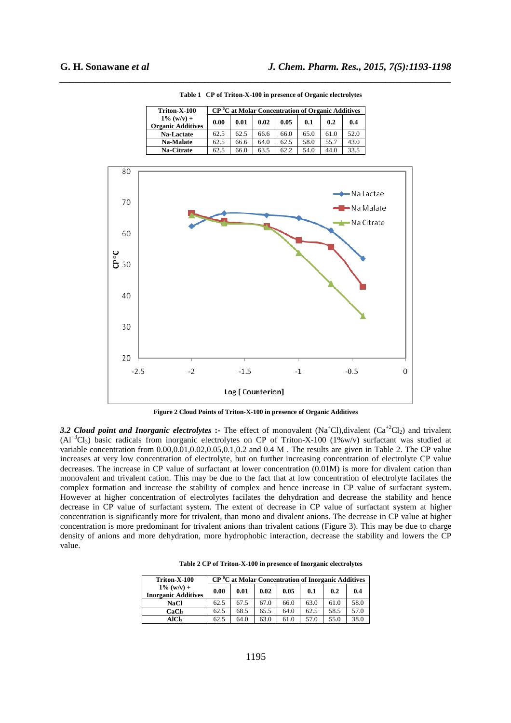| Triton-X-100                              |      | $CP0C$ at Molar Concentration of Organic Additives |      |      |      |      |      |
|-------------------------------------------|------|----------------------------------------------------|------|------|------|------|------|
| $1\%$ (w/v) +<br><b>Organic Additives</b> | 0.00 | 0.01                                               | 0.02 | 0.05 | 0.1  | 0.2  | 0.4  |
| Na-Lactate                                | 62.5 | 62.5                                               | 66.6 | 66.0 | 65.0 | 61.0 | 52.0 |
| <b>Na-Malate</b>                          | 62.5 | 66.6                                               | 64.0 | 62.5 | 58.0 | 55.7 | 43.0 |
| <b>Na-Citrate</b>                         | 62.5 | 66.0                                               | 63.5 | 62.2 | 54.0 | 44.0 | 33.5 |

*\_\_\_\_\_\_\_\_\_\_\_\_\_\_\_\_\_\_\_\_\_\_\_\_\_\_\_\_\_\_\_\_\_\_\_\_\_\_\_\_\_\_\_\_\_\_\_\_\_\_\_\_\_\_\_\_\_\_\_\_\_\_\_\_\_\_\_\_\_\_\_\_\_\_\_\_\_\_*

**Table 1 CP of Triton-X-100 in presence of Organic electrolytes** 



**Figure 2 Cloud Points of Triton-X-100 in presence of Organic Additives** 

*3.2 Cloud point and Inorganic electrolytes* :- The effect of monovalent (Na<sup>+</sup>Cl),divalent (Ca<sup>+2</sup>Cl<sub>2</sub>) and trivalent  $(AI^{+3}Cl_3)$  basic radicals from inorganic electrolytes on CP of Triton-X-100 (1%w/v) surfactant was studied at variable concentration from 0.00,0.01,0.02,0.05,0.1,0.2 and 0.4 M . The results are given in Table 2. The CP value increases at very low concentration of electrolyte, but on further increasing concentration of electrolyte CP value decreases. The increase in CP value of surfactant at lower concentration (0.01M) is more for divalent cation than monovalent and trivalent cation. This may be due to the fact that at low concentration of electrolyte facilates the complex formation and increase the stability of complex and hence increase in CP value of surfactant system. However at higher concentration of electrolytes facilates the dehydration and decrease the stability and hence decrease in CP value of surfactant system. The extent of decrease in CP value of surfactant system at higher concentration is significantly more for trivalent, than mono and divalent anions. The decrease in CP value at higher concentration is more predominant for trivalent anions than trivalent cations (Figure 3). This may be due to charge density of anions and more dehydration, more hydrophobic interaction, decrease the stability and lowers the CP value.

**Table 2 CP of Triton-X-100 in presence of Inorganic electrolytes** 

| Triton-X-100                                |      |      | $CP0C$ at Molar Concentration of Inorganic Additives |      |      |      |      |
|---------------------------------------------|------|------|------------------------------------------------------|------|------|------|------|
| $1\%$ (w/y) +<br><b>Inorganic Additives</b> | 0.00 | 0.01 | 0.02                                                 | 0.05 | 0.1  | 0.2  | 0.4  |
| <b>NaCl</b>                                 | 62.5 | 67.5 | 67.0                                                 | 66.0 | 63.0 | 61.0 | 58.0 |
| CaCl <sub>2</sub>                           | 62.5 | 68.5 | 65.5                                                 | 64.0 | 62.5 | 58.5 | 57.0 |
| <b>AICI</b>                                 | 62.5 | 64.0 | 63.0                                                 | 61.0 | 57.0 | 55.0 | 38.0 |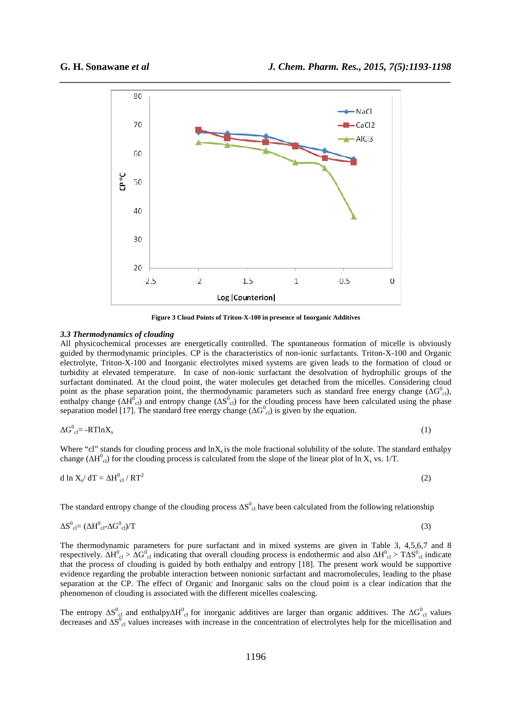

**Figure 3 Cloud Points of Triton-X-100 in presence of Inorganic Additives** 

# *3.3 Thermodynamics of clouding*

All physicochemical processes are energetically controlled. The spontaneous formation of micelle is obviously guided by thermodynamic principles. CP is the characteristics of non-ionic surfactants. Triton-X-100 and Organic electrolyte, Triton-X-100 and Inorganic electrolytes mixed systems are given leads to the formation of cloud or turbidity at elevated temperature. In case of non-ionic surfactant the desolvation of hydrophilic groups of the surfactant dominated. At the cloud point, the water molecules get detached from the micelles. Considering cloud point as the phase separation point, the thermodynamic parameters such as standard free energy change  $(\Delta G^0_{\text{cl}})$ , enthalpy change ( $\Delta H_{\text{cl}}^0$ ) and entropy change ( $\Delta S_{\text{cl}}^0$ ) for the clouding process have been calculated using the phase separation model [17]. The standard free energy change ( $\Delta G_{\text{cl}}^0$ ) is given by the equation.

$$
\Delta G^0_{\rm cl} = -RT \ln X_s \tag{1}
$$

Where "cl" stands for clouding process and  $\ln X_s$  is the mole fractional solubility of the solute. The standard enthalpy change ( $\Delta H^0_{\text{cl}}$ ) for the clouding process is calculated from the slope of the linear plot of ln X<sub>s</sub> vs. 1/T.

$$
d \ln X_s / dT = \Delta H_{cl}^0 / RT^2
$$
 (2)

The standard entropy change of the clouding process  $\Delta S^0_{\text{cl}}$  have been calculated from the following relationship

$$
\Delta S^0_{\text{cl}} = (\Delta H^0_{\text{cl}} - \Delta G^0_{\text{cl}})/T
$$
\n(3)

The thermodynamic parameters for pure surfactant and in mixed systems are given in Table 3, 4,5,6,7 and 8 respectively.  $\Delta H_{cl}^0 > \Delta G_{cl}^0$  indicating that overall clouding process is endothermic and also  $\Delta H_{cl}^0 > T \Delta S_{cl}^0$  indicate that the process of clouding is guided by both enthalpy and entropy [18]. The present work would be supportive evidence regarding the probable interaction between nonionic surfactant and macromolecules, leading to the phase separation at the CP. The effect of Organic and Inorganic salts on the cloud point is a clear indication that the phenomenon of clouding is associated with the different micelles coalescing.

The entropy  $\Delta S^0_{\text{cl}}$  and enthalpy $\Delta H^0_{\text{cl}}$  for inorganic additives are larger than organic additives. The  $\Delta G^0_{\text{cl}}$  values decreases and ∆S<sup>0</sup><sub>cl</sub> values increases with increase in the concentration of electrolytes help for the micellisation and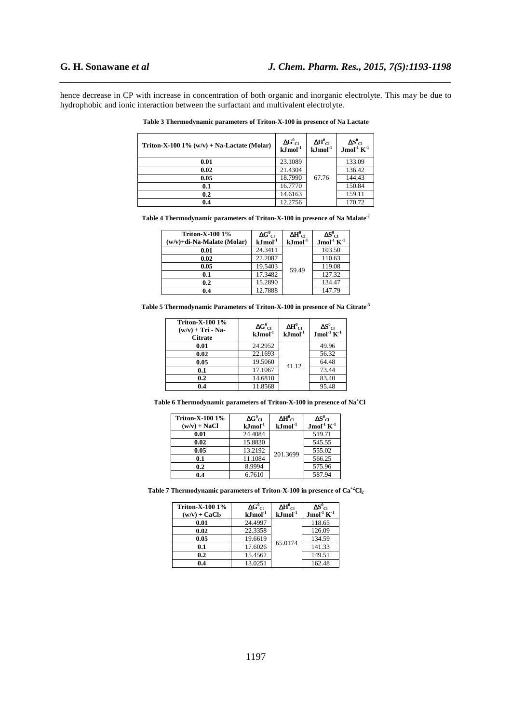hence decrease in CP with increase in concentration of both organic and inorganic electrolyte. This may be due to hydrophobic and ionic interaction between the surfactant and multivalent electrolyte.

*\_\_\_\_\_\_\_\_\_\_\_\_\_\_\_\_\_\_\_\_\_\_\_\_\_\_\_\_\_\_\_\_\_\_\_\_\_\_\_\_\_\_\_\_\_\_\_\_\_\_\_\_\_\_\_\_\_\_\_\_\_\_\_\_\_\_\_\_\_\_\_\_\_\_\_\_\_\_*

| Triton-X-100 $1\%$ (w/v) + Na-Lactate (Molar) | $\frac{\Delta G^0_{Cl}}{kJmol^{-1}}$ | $\Delta H^0$ <sub>Cl</sub><br>$kJ$ mol $^{-1}$ | $\Delta S^0_{Cl}$ Jmol <sup>-1</sup> K <sup>-1</sup> |
|-----------------------------------------------|--------------------------------------|------------------------------------------------|------------------------------------------------------|
| 0.01                                          | 23.1089                              |                                                | 133.09                                               |
| 0.02                                          | 21.4304                              |                                                | 136.42                                               |
| 0.05                                          | 18.7990                              | 67.76                                          | 144.43                                               |
| 0.1                                           | 16.7770                              |                                                | 150.84                                               |
| 0.2                                           | 14.6163                              |                                                | 159.11                                               |
| 0.4                                           | 12.2756                              |                                                | 170.72                                               |

**Table 3 Thermodynamic parameters of Triton-X-100 in presence of Na Lactate** 

| Table 4 Thermodynamic parameters of Triton-X-100 in presence of Na Malate <sup>-2</sup> |  |
|-----------------------------------------------------------------------------------------|--|
|                                                                                         |  |

| <b>Triton-X-100 1%</b><br>$(w/v)$ +di-Na-Malate (Molar) | $\Delta G^0_{\;\;{\rm CI}}$<br>$kJ$ mol $^{-1}$ | $\Delta H^0$ ci<br>$kJ$ mol $^{-1}$ | $\Delta S^0$ ci<br>$Jmol-1 K-1$ |
|---------------------------------------------------------|-------------------------------------------------|-------------------------------------|---------------------------------|
|                                                         |                                                 |                                     |                                 |
| 0.01                                                    | 24.3411                                         | 59.49                               | 103.50                          |
| 0.02                                                    | 22.2087                                         |                                     | 110.63                          |
| 0.05                                                    | 19.5403                                         |                                     | 119.08                          |
| 0.1                                                     | 17.3482                                         |                                     | 127.32                          |
| 0.2                                                     | 15.2890                                         |                                     | 134.47                          |
| 0.4                                                     | 12.7888                                         |                                     | 147.79                          |

**Table 5 Thermodynamic Parameters of Triton-X-100 in presence of Na Citrate-3**

| <b>Triton-X-100 1%</b><br>$(w/v)$ + Tri - Na-<br><b>Citrate</b> | $\Delta G^0{}_{\text{Cl}}$<br>$kJmol-1$ | $\Delta H^0$ <sub>Cl</sub><br>$kJmol-1$ | $\Delta S^0_{\phantom{0} \rm Cl}$<br>$Jmol-1K-1$ |
|-----------------------------------------------------------------|-----------------------------------------|-----------------------------------------|--------------------------------------------------|
| 0.01                                                            | 24.2952                                 | 41.12                                   | 49.96                                            |
| 0.02                                                            | 22.1693                                 |                                         | 56.32                                            |
| 0.05                                                            | 19.5060                                 |                                         | 64.48                                            |
| 0.1                                                             | 17.1067                                 |                                         | 73.44                                            |
| 0.2                                                             | 14.6810                                 |                                         | 83.40                                            |
| 0.4                                                             | 11.8568                                 |                                         | 95.48                                            |

**Table 6 Thermodynamic parameters of Triton-X-100 in presence of Na<sup>+</sup>Cl** 

| <b>Triton-X-100 1%</b><br>$(w/v)$ + NaCl | $\Delta G^0_{\text{Cl}}$<br>${\bf kJmol}^{-1}$ | $\Delta H^0$ <sub>Cl</sub><br>$kJ$ mol $^{-1}$ | $\Delta S^0$ ci<br>$Jmol-1 K-1$ |
|------------------------------------------|------------------------------------------------|------------------------------------------------|---------------------------------|
| 0.01                                     | 24.4084                                        | 201.3699                                       | 519.71                          |
| 0.02                                     | 15.8830                                        |                                                | 545.55                          |
| 0.05                                     | 13.2192                                        |                                                | 555.02                          |
| 0.1                                      | 11.1084                                        |                                                | 566.25                          |
| 0.2                                      | 8.9994                                         |                                                | 575.96                          |
| 0.4                                      | 6.7610                                         |                                                | 587.94                          |

**Table 7 Thermodynamic parameters of Triton-X-100 in presence of Ca+2Cl<sup>2</sup>**

| <b>Triton-X-100 1%</b><br>$(w/v)$ + CaCl <sub>2</sub> | $\Delta G^0_{\;\;{\rm CI}}$<br>$kJ$ mol $^{-1}$ | $\Delta H^0$ <sub>Cl</sub><br>$\mathbf{k}$ Jmol $^{-1}$ | $\Delta S^0_{\phantom{0} C1}$<br>Jmol <sup>-1</sup> $K^{-1}$ |
|-------------------------------------------------------|-------------------------------------------------|---------------------------------------------------------|--------------------------------------------------------------|
| 0.01                                                  | 24.4997                                         | 65.0174                                                 | 118.65                                                       |
| 0.02                                                  | 22.3358                                         |                                                         | 126.09                                                       |
| 0.05                                                  | 19.6619                                         |                                                         | 134.59                                                       |
| 0.1                                                   | 17.6026                                         |                                                         | 141.33                                                       |
| 0.2                                                   | 15.4562                                         |                                                         | 149.51                                                       |
| 0.4                                                   | 13.0251                                         |                                                         | 162.48                                                       |